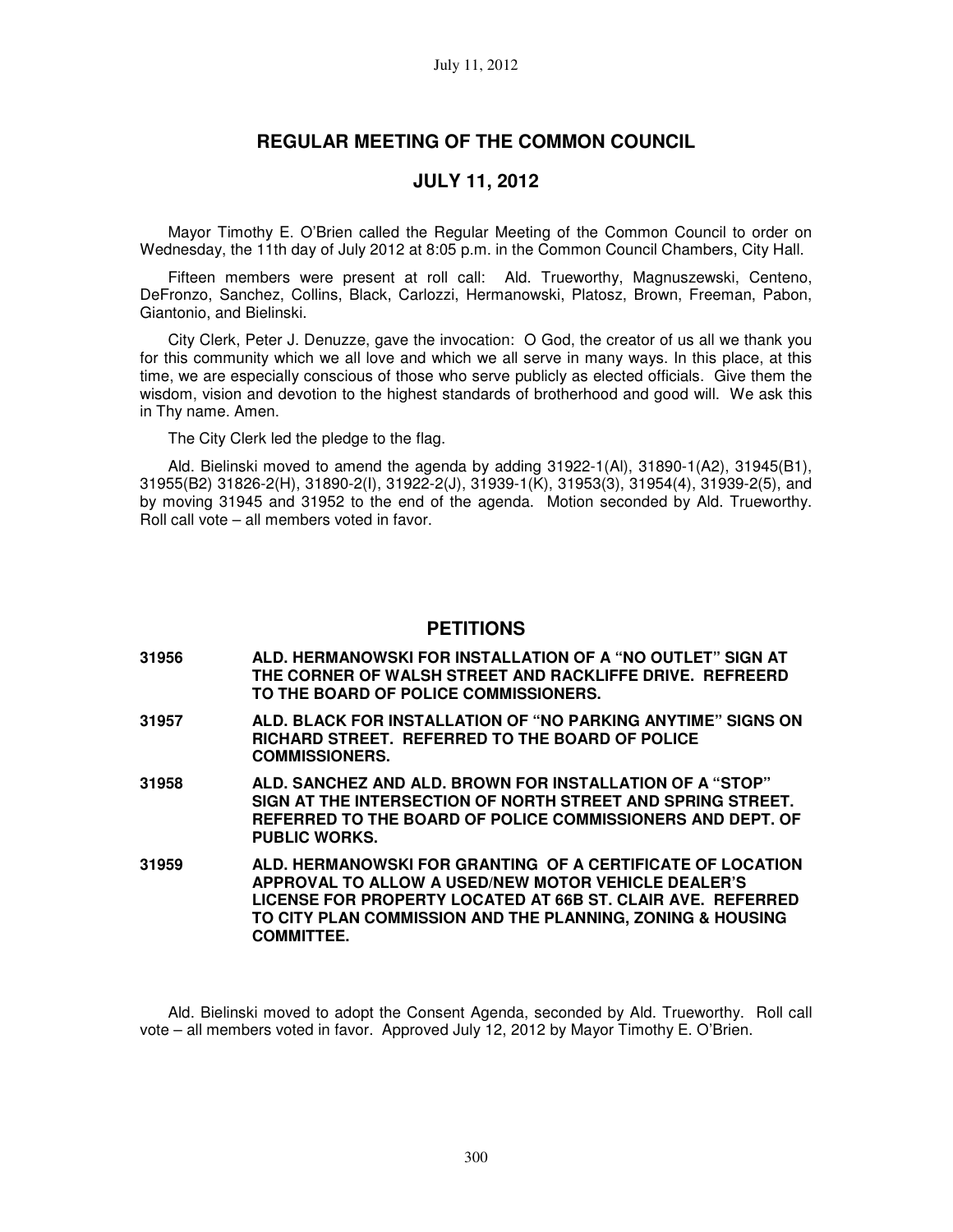# **REGULAR MEETING OF THE COMMON COUNCIL**

# **JULY 11, 2012**

Mayor Timothy E. O'Brien called the Regular Meeting of the Common Council to order on Wednesday, the 11th day of July 2012 at 8:05 p.m. in the Common Council Chambers, City Hall.

Fifteen members were present at roll call: Ald. Trueworthy, Magnuszewski, Centeno, DeFronzo, Sanchez, Collins, Black, Carlozzi, Hermanowski, Platosz, Brown, Freeman, Pabon, Giantonio, and Bielinski.

City Clerk, Peter J. Denuzze, gave the invocation: O God, the creator of us all we thank you for this community which we all love and which we all serve in many ways. In this place, at this time, we are especially conscious of those who serve publicly as elected officials. Give them the wisdom, vision and devotion to the highest standards of brotherhood and good will. We ask this in Thy name. Amen.

The City Clerk led the pledge to the flag.

Ald. Bielinski moved to amend the agenda by adding 31922-1(Al), 31890-1(A2), 31945(B1), 31955(B2) 31826-2(H), 31890-2(I), 31922-2(J), 31939-1(K), 31953(3), 31954(4), 31939-2(5), and by moving 31945 and 31952 to the end of the agenda. Motion seconded by Ald. Trueworthy. Roll call vote – all members voted in favor.

### **PETITIONS**

- **31956 ALD. HERMANOWSKI FOR INSTALLATION OF A "NO OUTLET" SIGN AT THE CORNER OF WALSH STREET AND RACKLIFFE DRIVE. REFREERD TO THE BOARD OF POLICE COMMISSIONERS.**
- **31957 ALD. BLACK FOR INSTALLATION OF "NO PARKING ANYTIME" SIGNS ON RICHARD STREET. REFERRED TO THE BOARD OF POLICE COMMISSIONERS.**
- **31958 ALD. SANCHEZ AND ALD. BROWN FOR INSTALLATION OF A "STOP" SIGN AT THE INTERSECTION OF NORTH STREET AND SPRING STREET. REFERRED TO THE BOARD OF POLICE COMMISSIONERS AND DEPT. OF PUBLIC WORKS.**
- **31959 ALD. HERMANOWSKI FOR GRANTING OF A CERTIFICATE OF LOCATION APPROVAL TO ALLOW A USED/NEW MOTOR VEHICLE DEALER'S LICENSE FOR PROPERTY LOCATED AT 66B ST. CLAIR AVE. REFERRED TO CITY PLAN COMMISSION AND THE PLANNING, ZONING & HOUSING COMMITTEE.**

Ald. Bielinski moved to adopt the Consent Agenda, seconded by Ald. Trueworthy. Roll call vote – all members voted in favor. Approved July 12, 2012 by Mayor Timothy E. O'Brien.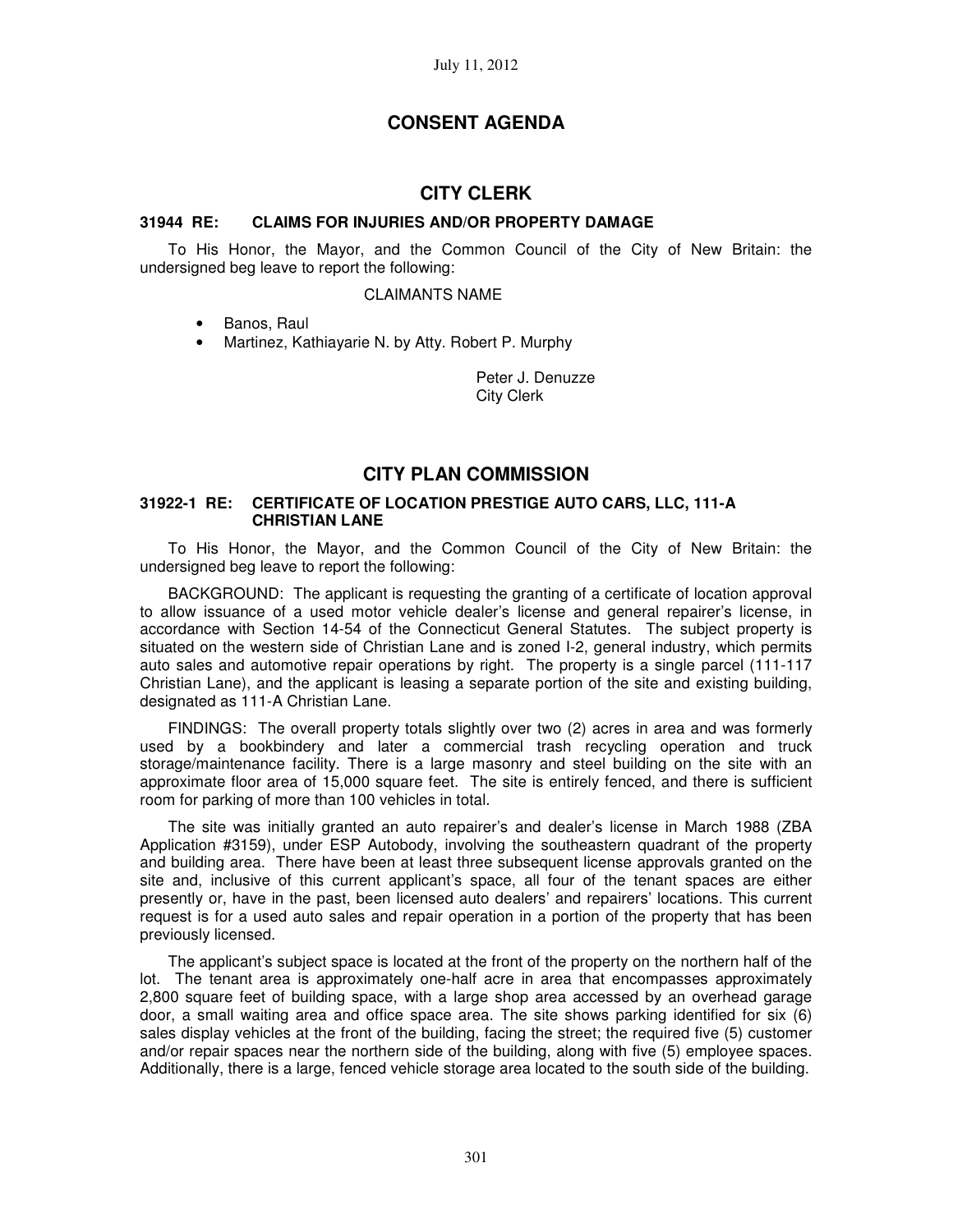# **CONSENT AGENDA**

## **CITY CLERK**

### **31944 RE: CLAIMS FOR INJURIES AND/OR PROPERTY DAMAGE**

To His Honor, the Mayor, and the Common Council of the City of New Britain: the undersigned beg leave to report the following:

#### CLAIMANTS NAME

- Banos, Raul
- Martinez, Kathiayarie N. by Atty. Robert P. Murphy

Peter J. Denuzze City Clerk

## **CITY PLAN COMMISSION**

### **31922-1 RE: CERTIFICATE OF LOCATION PRESTIGE AUTO CARS, LLC, 111-A CHRISTIAN LANE**

To His Honor, the Mayor, and the Common Council of the City of New Britain: the undersigned beg leave to report the following:

BACKGROUND: The applicant is requesting the granting of a certificate of location approval to allow issuance of a used motor vehicle dealer's license and general repairer's license, in accordance with Section 14-54 of the Connecticut General Statutes. The subject property is situated on the western side of Christian Lane and is zoned I-2, general industry, which permits auto sales and automotive repair operations by right. The property is a single parcel (111-117 Christian Lane), and the applicant is leasing a separate portion of the site and existing building, designated as 111-A Christian Lane.

FINDINGS: The overall property totals slightly over two (2) acres in area and was formerly used by a bookbindery and later a commercial trash recycling operation and truck storage/maintenance facility. There is a large masonry and steel building on the site with an approximate floor area of 15,000 square feet. The site is entirely fenced, and there is sufficient room for parking of more than 100 vehicles in total.

The site was initially granted an auto repairer's and dealer's license in March 1988 (ZBA Application #3159), under ESP Autobody, involving the southeastern quadrant of the property and building area. There have been at least three subsequent license approvals granted on the site and, inclusive of this current applicant's space, all four of the tenant spaces are either presently or, have in the past, been licensed auto dealers' and repairers' locations. This current request is for a used auto sales and repair operation in a portion of the property that has been previously licensed.

The applicant's subject space is located at the front of the property on the northern half of the lot. The tenant area is approximately one-half acre in area that encompasses approximately 2,800 square feet of building space, with a large shop area accessed by an overhead garage door, a small waiting area and office space area. The site shows parking identified for six (6) sales display vehicles at the front of the building, facing the street; the required five (5) customer and/or repair spaces near the northern side of the building, along with five (5) employee spaces. Additionally, there is a large, fenced vehicle storage area located to the south side of the building.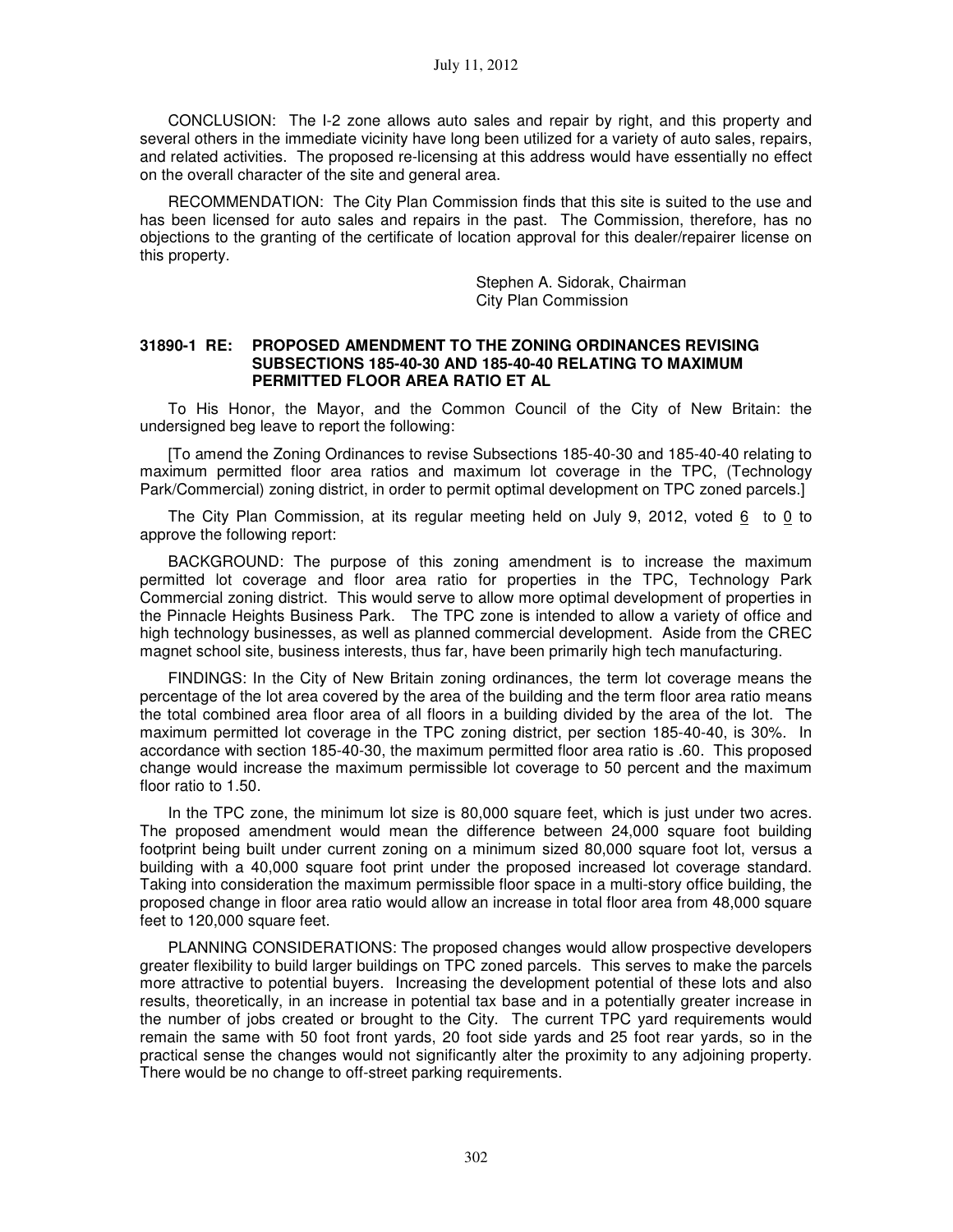CONCLUSION: The I-2 zone allows auto sales and repair by right, and this property and several others in the immediate vicinity have long been utilized for a variety of auto sales, repairs, and related activities. The proposed re-licensing at this address would have essentially no effect on the overall character of the site and general area.

RECOMMENDATION: The City Plan Commission finds that this site is suited to the use and has been licensed for auto sales and repairs in the past. The Commission, therefore, has no objections to the granting of the certificate of location approval for this dealer/repairer license on this property.

> Stephen A. Sidorak, Chairman City Plan Commission

#### **31890-1 RE: PROPOSED AMENDMENT TO THE ZONING ORDINANCES REVISING SUBSECTIONS 185-40-30 AND 185-40-40 RELATING TO MAXIMUM PERMITTED FLOOR AREA RATIO ET AL**

To His Honor, the Mayor, and the Common Council of the City of New Britain: the undersigned beg leave to report the following:

[To amend the Zoning Ordinances to revise Subsections 185-40-30 and 185-40-40 relating to maximum permitted floor area ratios and maximum lot coverage in the TPC, (Technology Park/Commercial) zoning district, in order to permit optimal development on TPC zoned parcels.]

The City Plan Commission, at its regular meeting held on July 9, 2012, voted 6 to 0 to approve the following report:

BACKGROUND: The purpose of this zoning amendment is to increase the maximum permitted lot coverage and floor area ratio for properties in the TPC, Technology Park Commercial zoning district. This would serve to allow more optimal development of properties in the Pinnacle Heights Business Park. The TPC zone is intended to allow a variety of office and high technology businesses, as well as planned commercial development. Aside from the CREC magnet school site, business interests, thus far, have been primarily high tech manufacturing.

FINDINGS: In the City of New Britain zoning ordinances, the term lot coverage means the percentage of the lot area covered by the area of the building and the term floor area ratio means the total combined area floor area of all floors in a building divided by the area of the lot. The maximum permitted lot coverage in the TPC zoning district, per section 185-40-40, is 30%. In accordance with section 185-40-30, the maximum permitted floor area ratio is .60. This proposed change would increase the maximum permissible lot coverage to 50 percent and the maximum floor ratio to 1.50.

In the TPC zone, the minimum lot size is 80,000 square feet, which is just under two acres. The proposed amendment would mean the difference between 24,000 square foot building footprint being built under current zoning on a minimum sized 80,000 square foot lot, versus a building with a 40,000 square foot print under the proposed increased lot coverage standard. Taking into consideration the maximum permissible floor space in a multi-story office building, the proposed change in floor area ratio would allow an increase in total floor area from 48,000 square feet to 120,000 square feet.

PLANNING CONSIDERATIONS: The proposed changes would allow prospective developers greater flexibility to build larger buildings on TPC zoned parcels. This serves to make the parcels more attractive to potential buyers. Increasing the development potential of these lots and also results, theoretically, in an increase in potential tax base and in a potentially greater increase in the number of jobs created or brought to the City. The current TPC yard requirements would remain the same with 50 foot front yards, 20 foot side yards and 25 foot rear yards, so in the practical sense the changes would not significantly alter the proximity to any adjoining property. There would be no change to off-street parking requirements.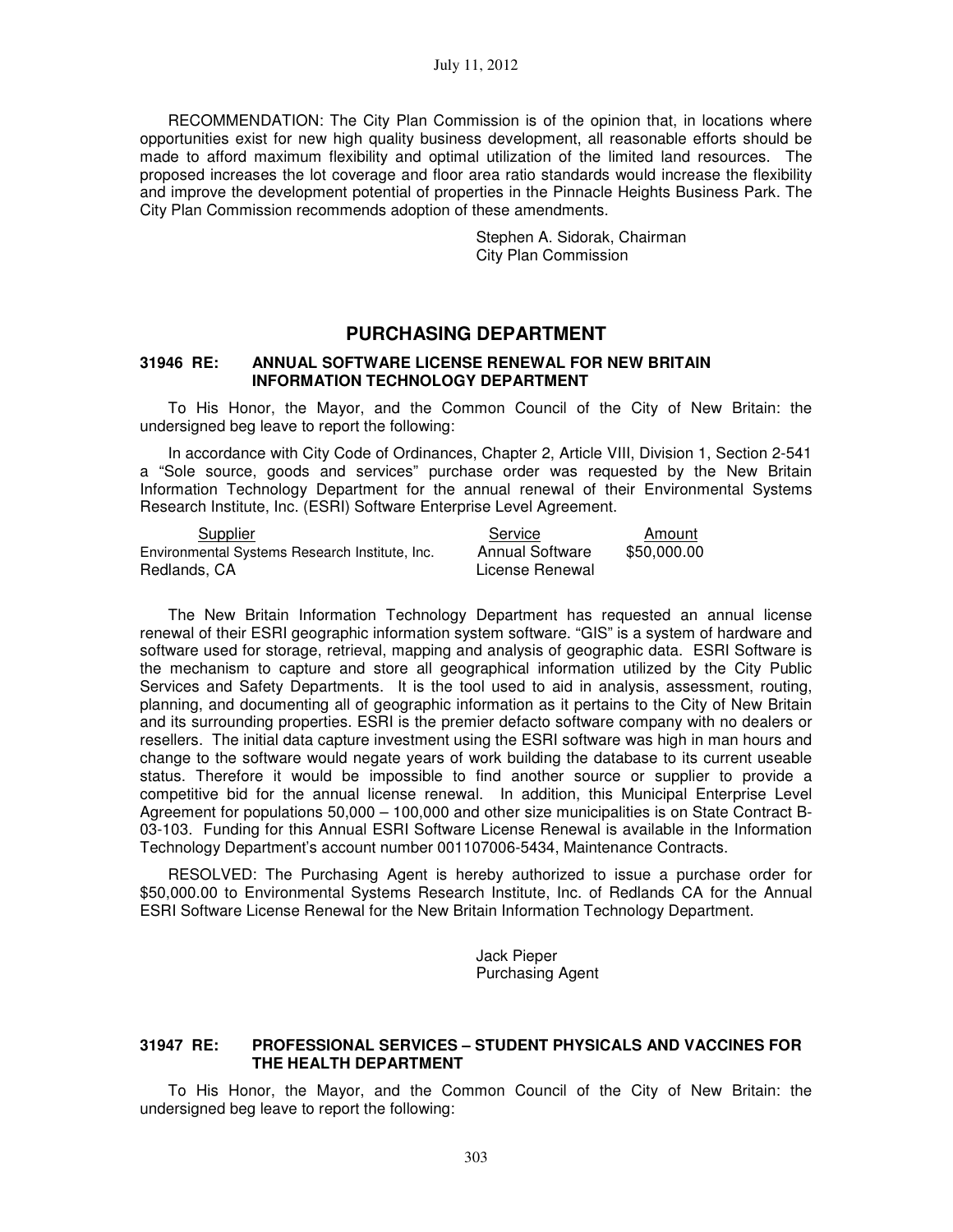RECOMMENDATION: The City Plan Commission is of the opinion that, in locations where opportunities exist for new high quality business development, all reasonable efforts should be made to afford maximum flexibility and optimal utilization of the limited land resources. The proposed increases the lot coverage and floor area ratio standards would increase the flexibility and improve the development potential of properties in the Pinnacle Heights Business Park. The City Plan Commission recommends adoption of these amendments.

> Stephen A. Sidorak, Chairman City Plan Commission

## **PURCHASING DEPARTMENT**

### **31946 RE: ANNUAL SOFTWARE LICENSE RENEWAL FOR NEW BRITAIN INFORMATION TECHNOLOGY DEPARTMENT**

To His Honor, the Mayor, and the Common Council of the City of New Britain: the undersigned beg leave to report the following:

In accordance with City Code of Ordinances, Chapter 2, Article VIII, Division 1, Section 2-541 a "Sole source, goods and services" purchase order was requested by the New Britain Information Technology Department for the annual renewal of their Environmental Systems Research Institute, Inc. (ESRI) Software Enterprise Level Agreement.

| Supplier                                       | Service                | Amount      |
|------------------------------------------------|------------------------|-------------|
| Environmental Systems Research Institute, Inc. | <b>Annual Software</b> | \$50,000.00 |
| Redlands, CA                                   | License Renewal        |             |

The New Britain Information Technology Department has requested an annual license renewal of their ESRI geographic information system software. "GIS" is a system of hardware and software used for storage, retrieval, mapping and analysis of geographic data. ESRI Software is the mechanism to capture and store all geographical information utilized by the City Public Services and Safety Departments. It is the tool used to aid in analysis, assessment, routing, planning, and documenting all of geographic information as it pertains to the City of New Britain and its surrounding properties. ESRI is the premier defacto software company with no dealers or resellers. The initial data capture investment using the ESRI software was high in man hours and change to the software would negate years of work building the database to its current useable status. Therefore it would be impossible to find another source or supplier to provide a competitive bid for the annual license renewal. In addition, this Municipal Enterprise Level Agreement for populations 50,000 – 100,000 and other size municipalities is on State Contract B-03-103. Funding for this Annual ESRI Software License Renewal is available in the Information Technology Department's account number 001107006-5434, Maintenance Contracts.

RESOLVED: The Purchasing Agent is hereby authorized to issue a purchase order for \$50,000.00 to Environmental Systems Research Institute, Inc. of Redlands CA for the Annual ESRI Software License Renewal for the New Britain Information Technology Department.

> Jack Pieper Purchasing Agent

### **31947 RE: PROFESSIONAL SERVICES – STUDENT PHYSICALS AND VACCINES FOR THE HEALTH DEPARTMENT**

To His Honor, the Mayor, and the Common Council of the City of New Britain: the undersigned beg leave to report the following: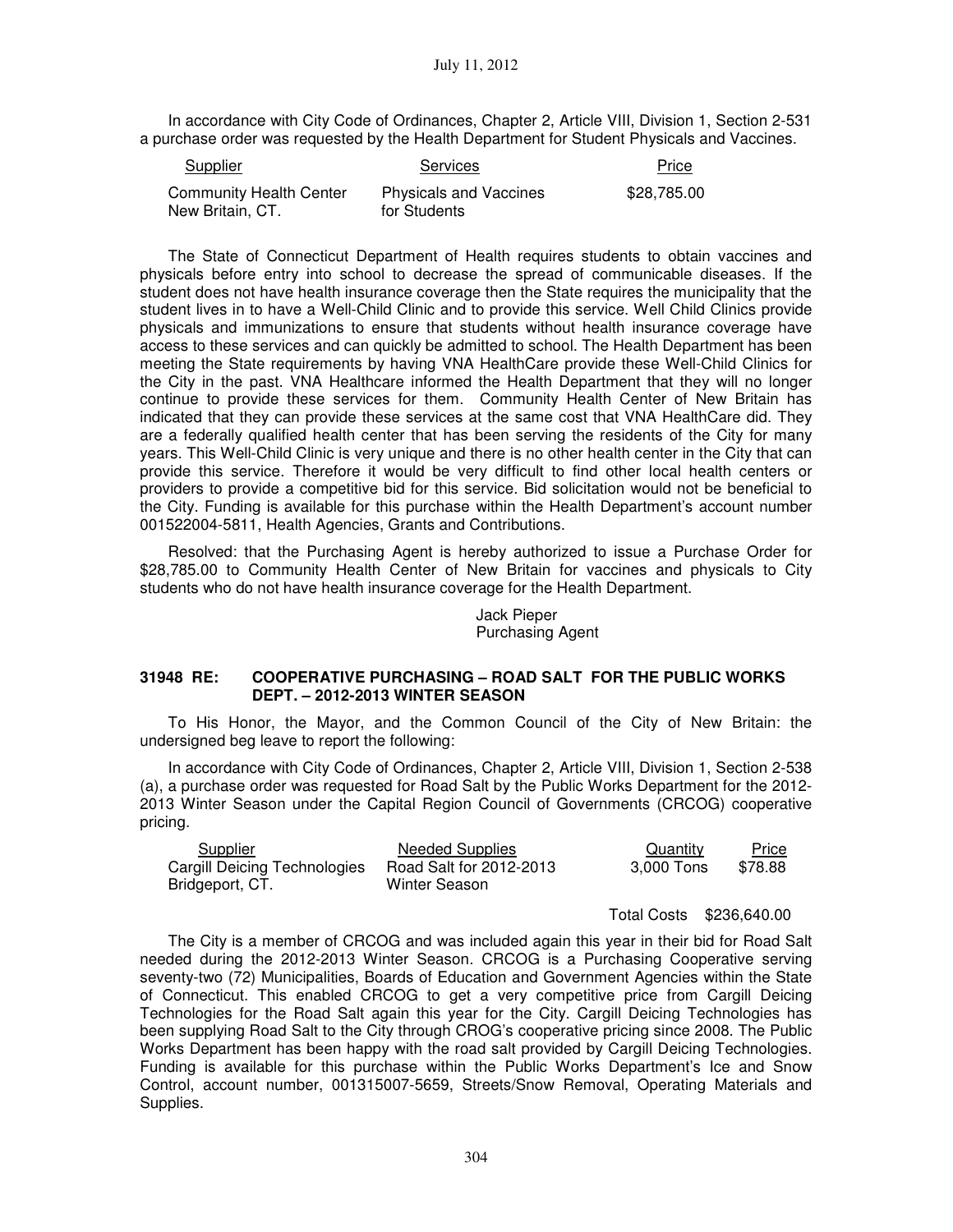In accordance with City Code of Ordinances, Chapter 2, Article VIII, Division 1, Section 2-531 a purchase order was requested by the Health Department for Student Physicals and Vaccines.

| Supplier                                           | <b>Services</b>                               | Price       |
|----------------------------------------------------|-----------------------------------------------|-------------|
| <b>Community Health Center</b><br>New Britain, CT. | <b>Physicals and Vaccines</b><br>for Students | \$28,785.00 |

The State of Connecticut Department of Health requires students to obtain vaccines and physicals before entry into school to decrease the spread of communicable diseases. If the student does not have health insurance coverage then the State requires the municipality that the student lives in to have a Well-Child Clinic and to provide this service. Well Child Clinics provide physicals and immunizations to ensure that students without health insurance coverage have access to these services and can quickly be admitted to school. The Health Department has been meeting the State requirements by having VNA HealthCare provide these Well-Child Clinics for the City in the past. VNA Healthcare informed the Health Department that they will no longer continue to provide these services for them. Community Health Center of New Britain has indicated that they can provide these services at the same cost that VNA HealthCare did. They are a federally qualified health center that has been serving the residents of the City for many years. This Well-Child Clinic is very unique and there is no other health center in the City that can provide this service. Therefore it would be very difficult to find other local health centers or providers to provide a competitive bid for this service. Bid solicitation would not be beneficial to the City. Funding is available for this purchase within the Health Department's account number 001522004-5811, Health Agencies, Grants and Contributions.

Resolved: that the Purchasing Agent is hereby authorized to issue a Purchase Order for \$28,785.00 to Community Health Center of New Britain for vaccines and physicals to City students who do not have health insurance coverage for the Health Department.

### Jack Pieper Purchasing Agent

### **31948 RE: COOPERATIVE PURCHASING – ROAD SALT FOR THE PUBLIC WORKS DEPT. – 2012-2013 WINTER SEASON**

To His Honor, the Mayor, and the Common Council of the City of New Britain: the undersigned beg leave to report the following:

In accordance with City Code of Ordinances, Chapter 2, Article VIII, Division 1, Section 2-538 (a), a purchase order was requested for Road Salt by the Public Works Department for the 2012- 2013 Winter Season under the Capital Region Council of Governments (CRCOG) cooperative pricing.

| Supplier                     | <b>Needed Supplies</b>  | Quantity   | <b>Price</b> |
|------------------------------|-------------------------|------------|--------------|
| Cargill Deicing Technologies | Road Salt for 2012-2013 | 3.000 Tons | \$78.88      |
| Bridgeport, CT.              | Winter Season           |            |              |

Total Costs \$236,640.00

The City is a member of CRCOG and was included again this year in their bid for Road Salt needed during the 2012-2013 Winter Season. CRCOG is a Purchasing Cooperative serving seventy-two (72) Municipalities, Boards of Education and Government Agencies within the State of Connecticut. This enabled CRCOG to get a very competitive price from Cargill Deicing Technologies for the Road Salt again this year for the City. Cargill Deicing Technologies has been supplying Road Salt to the City through CROG's cooperative pricing since 2008. The Public Works Department has been happy with the road salt provided by Cargill Deicing Technologies. Funding is available for this purchase within the Public Works Department's Ice and Snow Control, account number, 001315007-5659, Streets/Snow Removal, Operating Materials and Supplies.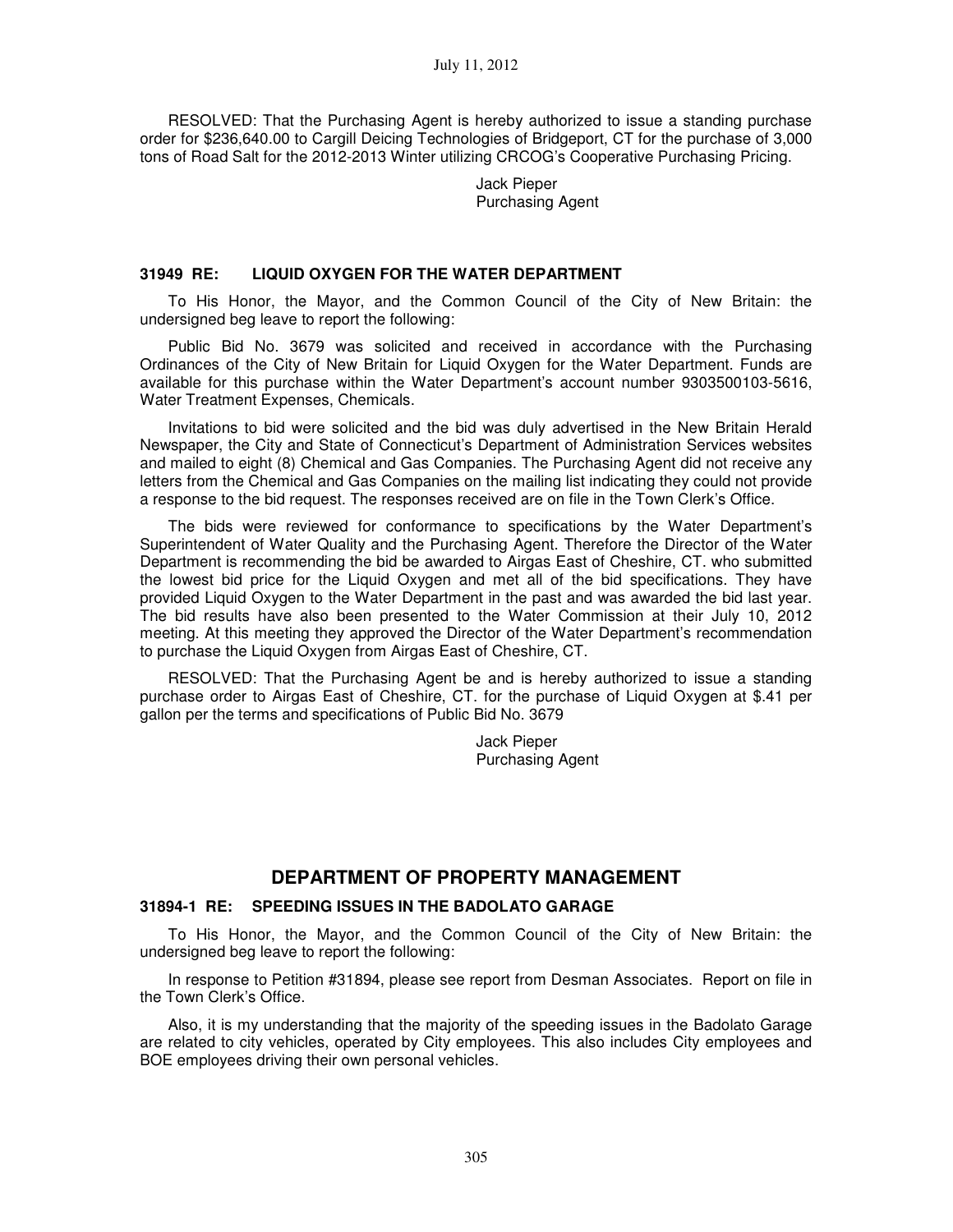RESOLVED: That the Purchasing Agent is hereby authorized to issue a standing purchase order for \$236,640.00 to Cargill Deicing Technologies of Bridgeport, CT for the purchase of 3,000 tons of Road Salt for the 2012-2013 Winter utilizing CRCOG's Cooperative Purchasing Pricing.

> Jack Pieper Purchasing Agent

### **31949 RE: LIQUID OXYGEN FOR THE WATER DEPARTMENT**

To His Honor, the Mayor, and the Common Council of the City of New Britain: the undersigned beg leave to report the following:

Public Bid No. 3679 was solicited and received in accordance with the Purchasing Ordinances of the City of New Britain for Liquid Oxygen for the Water Department. Funds are available for this purchase within the Water Department's account number 9303500103-5616, Water Treatment Expenses, Chemicals.

Invitations to bid were solicited and the bid was duly advertised in the New Britain Herald Newspaper, the City and State of Connecticut's Department of Administration Services websites and mailed to eight (8) Chemical and Gas Companies. The Purchasing Agent did not receive any letters from the Chemical and Gas Companies on the mailing list indicating they could not provide a response to the bid request. The responses received are on file in the Town Clerk's Office.

The bids were reviewed for conformance to specifications by the Water Department's Superintendent of Water Quality and the Purchasing Agent. Therefore the Director of the Water Department is recommending the bid be awarded to Airgas East of Cheshire, CT. who submitted the lowest bid price for the Liquid Oxygen and met all of the bid specifications. They have provided Liquid Oxygen to the Water Department in the past and was awarded the bid last year. The bid results have also been presented to the Water Commission at their July 10, 2012 meeting. At this meeting they approved the Director of the Water Department's recommendation to purchase the Liquid Oxygen from Airgas East of Cheshire, CT.

RESOLVED: That the Purchasing Agent be and is hereby authorized to issue a standing purchase order to Airgas East of Cheshire, CT. for the purchase of Liquid Oxygen at \$.41 per gallon per the terms and specifications of Public Bid No. 3679

> Jack Pieper Purchasing Agent

## **DEPARTMENT OF PROPERTY MANAGEMENT**

# **31894-1 RE: SPEEDING ISSUES IN THE BADOLATO GARAGE**

To His Honor, the Mayor, and the Common Council of the City of New Britain: the undersigned beg leave to report the following:

In response to Petition #31894, please see report from Desman Associates. Report on file in the Town Clerk's Office.

Also, it is my understanding that the majority of the speeding issues in the Badolato Garage are related to city vehicles, operated by City employees. This also includes City employees and BOE employees driving their own personal vehicles.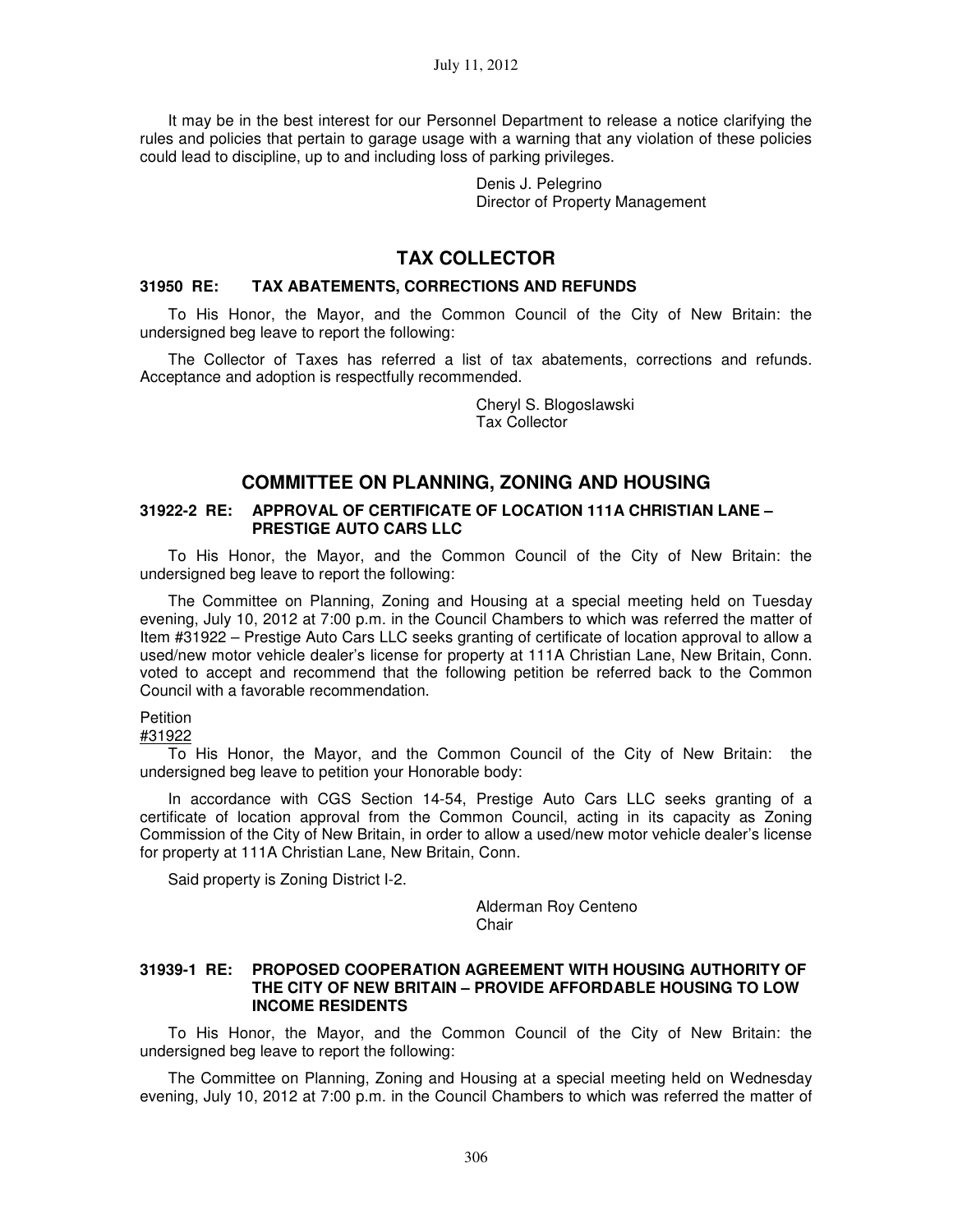It may be in the best interest for our Personnel Department to release a notice clarifying the rules and policies that pertain to garage usage with a warning that any violation of these policies could lead to discipline, up to and including loss of parking privileges.

> Denis J. Pelegrino Director of Property Management

# **TAX COLLECTOR**

### **31950 RE: TAX ABATEMENTS, CORRECTIONS AND REFUNDS**

To His Honor, the Mayor, and the Common Council of the City of New Britain: the undersigned beg leave to report the following:

The Collector of Taxes has referred a list of tax abatements, corrections and refunds. Acceptance and adoption is respectfully recommended.

> Cheryl S. Blogoslawski Tax Collector

# **COMMITTEE ON PLANNING, ZONING AND HOUSING**

### **31922-2 RE: APPROVAL OF CERTIFICATE OF LOCATION 111A CHRISTIAN LANE – PRESTIGE AUTO CARS LLC**

To His Honor, the Mayor, and the Common Council of the City of New Britain: the undersigned beg leave to report the following:

The Committee on Planning, Zoning and Housing at a special meeting held on Tuesday evening, July 10, 2012 at 7:00 p.m. in the Council Chambers to which was referred the matter of Item #31922 – Prestige Auto Cars LLC seeks granting of certificate of location approval to allow a used/new motor vehicle dealer's license for property at 111A Christian Lane, New Britain, Conn. voted to accept and recommend that the following petition be referred back to the Common Council with a favorable recommendation.

### **Petition**

#31922

To His Honor, the Mayor, and the Common Council of the City of New Britain: the undersigned beg leave to petition your Honorable body:

In accordance with CGS Section 14-54, Prestige Auto Cars LLC seeks granting of a certificate of location approval from the Common Council, acting in its capacity as Zoning Commission of the City of New Britain, in order to allow a used/new motor vehicle dealer's license for property at 111A Christian Lane, New Britain, Conn.

Said property is Zoning District I-2.

Alderman Roy Centeno **Chair** 

### **31939-1 RE: PROPOSED COOPERATION AGREEMENT WITH HOUSING AUTHORITY OF THE CITY OF NEW BRITAIN – PROVIDE AFFORDABLE HOUSING TO LOW INCOME RESIDENTS**

To His Honor, the Mayor, and the Common Council of the City of New Britain: the undersigned beg leave to report the following:

The Committee on Planning, Zoning and Housing at a special meeting held on Wednesday evening, July 10, 2012 at 7:00 p.m. in the Council Chambers to which was referred the matter of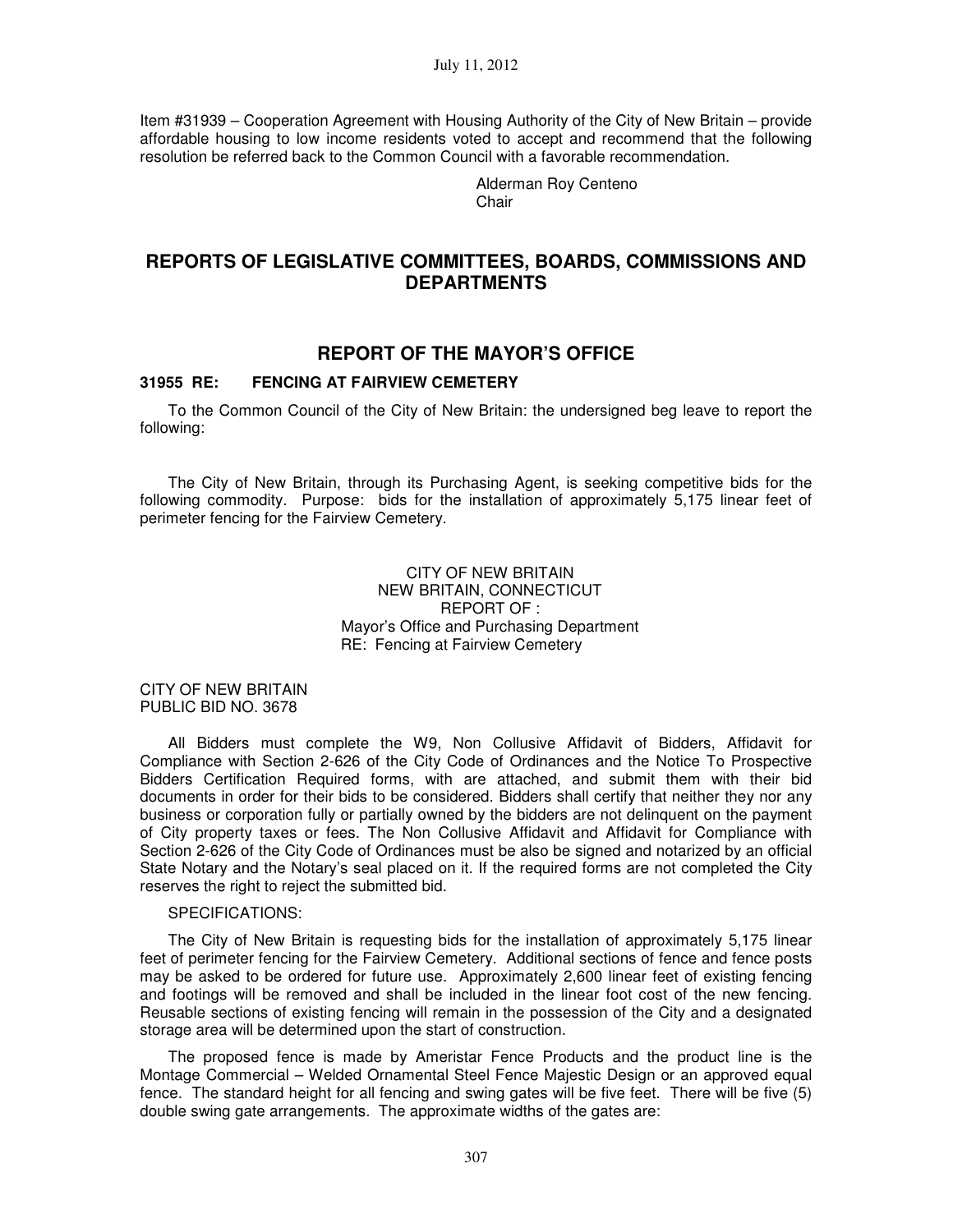Item #31939 – Cooperation Agreement with Housing Authority of the City of New Britain – provide affordable housing to low income residents voted to accept and recommend that the following resolution be referred back to the Common Council with a favorable recommendation.

> Alderman Roy Centeno Chair

# **REPORTS OF LEGISLATIVE COMMITTEES, BOARDS, COMMISSIONS AND DEPARTMENTS**

## **REPORT OF THE MAYOR'S OFFICE**

#### **31955 RE: FENCING AT FAIRVIEW CEMETERY**

To the Common Council of the City of New Britain: the undersigned beg leave to report the following:

The City of New Britain, through its Purchasing Agent, is seeking competitive bids for the following commodity. Purpose: bids for the installation of approximately 5,175 linear feet of perimeter fencing for the Fairview Cemetery.

### CITY OF NEW BRITAIN NEW BRITAIN, CONNECTICUT REPORT OF : Mayor's Office and Purchasing Department RE: Fencing at Fairview Cemetery

CITY OF NEW BRITAIN PUBLIC BID NO. 3678

All Bidders must complete the W9, Non Collusive Affidavit of Bidders, Affidavit for Compliance with Section 2-626 of the City Code of Ordinances and the Notice To Prospective Bidders Certification Required forms, with are attached, and submit them with their bid documents in order for their bids to be considered. Bidders shall certify that neither they nor any business or corporation fully or partially owned by the bidders are not delinquent on the payment of City property taxes or fees. The Non Collusive Affidavit and Affidavit for Compliance with Section 2-626 of the City Code of Ordinances must be also be signed and notarized by an official State Notary and the Notary's seal placed on it. If the required forms are not completed the City reserves the right to reject the submitted bid.

#### SPECIFICATIONS:

The City of New Britain is requesting bids for the installation of approximately 5,175 linear feet of perimeter fencing for the Fairview Cemetery. Additional sections of fence and fence posts may be asked to be ordered for future use. Approximately 2,600 linear feet of existing fencing and footings will be removed and shall be included in the linear foot cost of the new fencing. Reusable sections of existing fencing will remain in the possession of the City and a designated storage area will be determined upon the start of construction.

The proposed fence is made by Ameristar Fence Products and the product line is the Montage Commercial – Welded Ornamental Steel Fence Majestic Design or an approved equal fence. The standard height for all fencing and swing gates will be five feet. There will be five (5) double swing gate arrangements. The approximate widths of the gates are: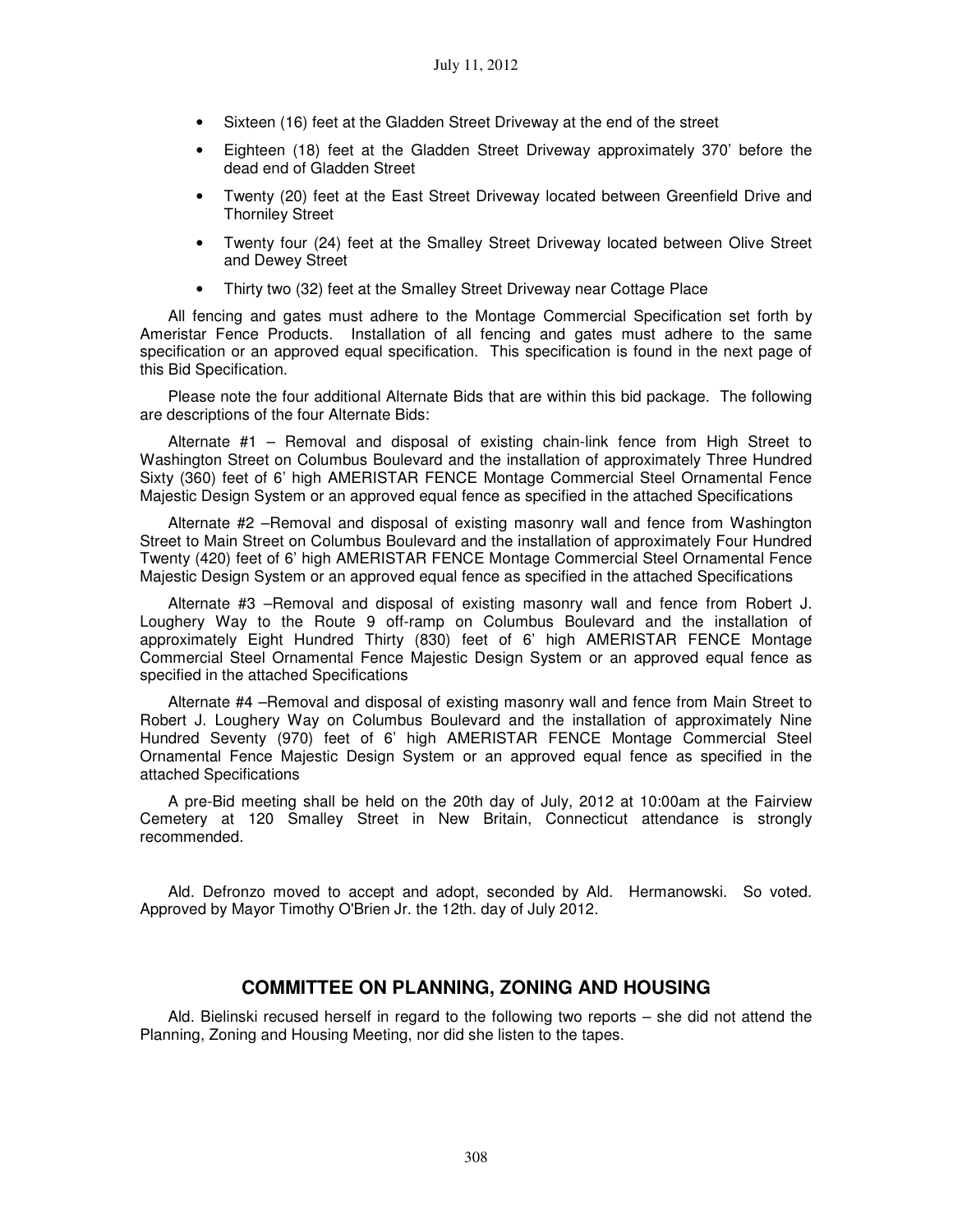- Sixteen (16) feet at the Gladden Street Driveway at the end of the street
- Eighteen (18) feet at the Gladden Street Driveway approximately 370' before the dead end of Gladden Street
- Twenty (20) feet at the East Street Driveway located between Greenfield Drive and Thorniley Street
- Twenty four (24) feet at the Smalley Street Driveway located between Olive Street and Dewey Street
- Thirty two (32) feet at the Smalley Street Driveway near Cottage Place

All fencing and gates must adhere to the Montage Commercial Specification set forth by Ameristar Fence Products. Installation of all fencing and gates must adhere to the same specification or an approved equal specification. This specification is found in the next page of this Bid Specification.

Please note the four additional Alternate Bids that are within this bid package. The following are descriptions of the four Alternate Bids:

Alternate #1 – Removal and disposal of existing chain-link fence from High Street to Washington Street on Columbus Boulevard and the installation of approximately Three Hundred Sixty (360) feet of 6' high AMERISTAR FENCE Montage Commercial Steel Ornamental Fence Majestic Design System or an approved equal fence as specified in the attached Specifications

Alternate #2 –Removal and disposal of existing masonry wall and fence from Washington Street to Main Street on Columbus Boulevard and the installation of approximately Four Hundred Twenty (420) feet of 6' high AMERISTAR FENCE Montage Commercial Steel Ornamental Fence Majestic Design System or an approved equal fence as specified in the attached Specifications

Alternate #3 –Removal and disposal of existing masonry wall and fence from Robert J. Loughery Way to the Route 9 off-ramp on Columbus Boulevard and the installation of approximately Eight Hundred Thirty (830) feet of 6' high AMERISTAR FENCE Montage Commercial Steel Ornamental Fence Majestic Design System or an approved equal fence as specified in the attached Specifications

Alternate #4 –Removal and disposal of existing masonry wall and fence from Main Street to Robert J. Loughery Way on Columbus Boulevard and the installation of approximately Nine Hundred Seventy (970) feet of 6' high AMERISTAR FENCE Montage Commercial Steel Ornamental Fence Majestic Design System or an approved equal fence as specified in the attached Specifications

A pre-Bid meeting shall be held on the 20th day of July, 2012 at 10:00am at the Fairview Cemetery at 120 Smalley Street in New Britain, Connecticut attendance is strongly recommended.

Ald. Defronzo moved to accept and adopt, seconded by Ald. Hermanowski. So voted. Approved by Mayor Timothy O'Brien Jr. the 12th. day of July 2012.

### **COMMITTEE ON PLANNING, ZONING AND HOUSING**

Ald. Bielinski recused herself in regard to the following two reports – she did not attend the Planning, Zoning and Housing Meeting, nor did she listen to the tapes.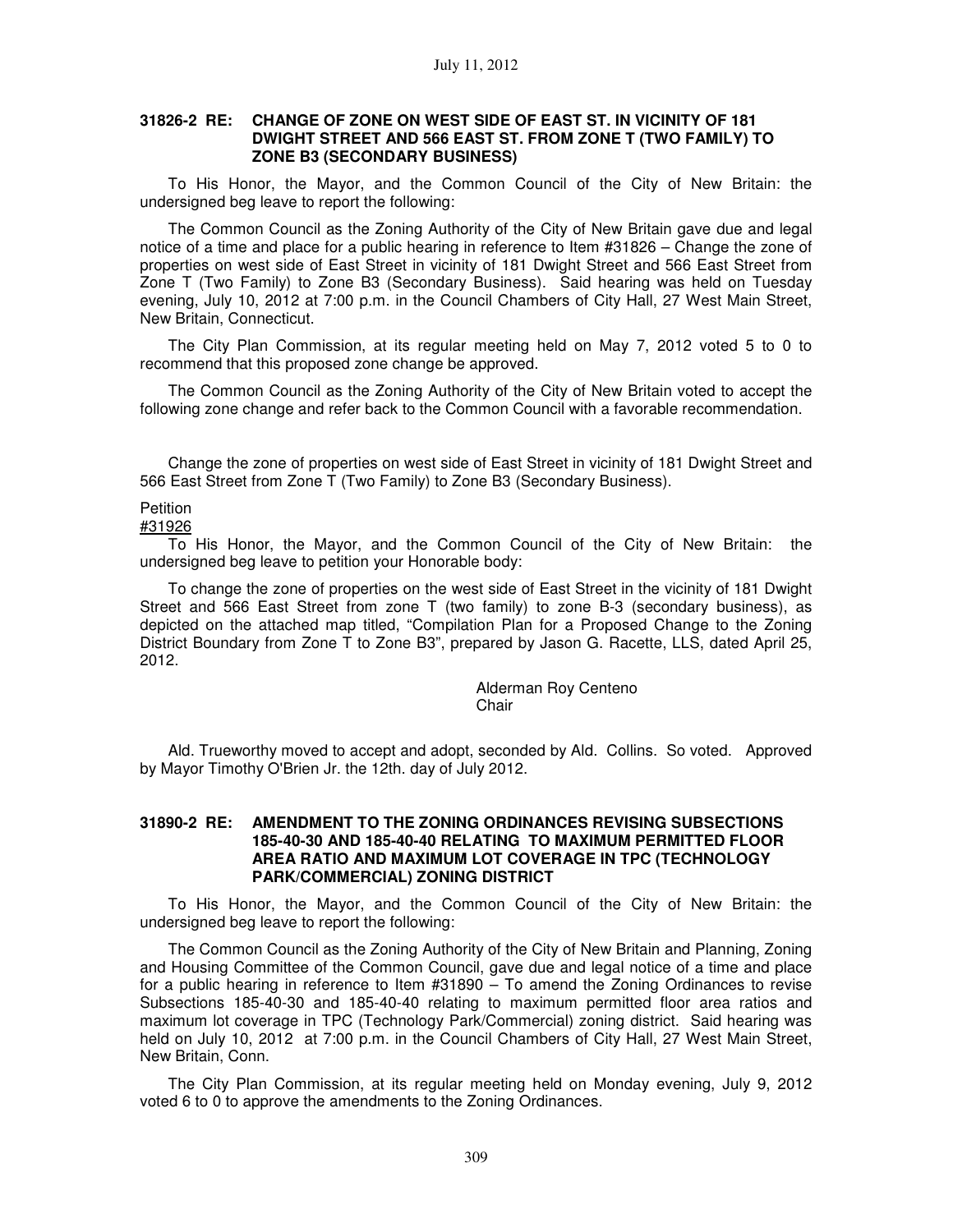### **31826-2 RE: CHANGE OF ZONE ON WEST SIDE OF EAST ST. IN VICINITY OF 181 DWIGHT STREET AND 566 EAST ST. FROM ZONE T (TWO FAMILY) TO ZONE B3 (SECONDARY BUSINESS)**

To His Honor, the Mayor, and the Common Council of the City of New Britain: the undersigned beg leave to report the following:

The Common Council as the Zoning Authority of the City of New Britain gave due and legal notice of a time and place for a public hearing in reference to Item #31826 – Change the zone of properties on west side of East Street in vicinity of 181 Dwight Street and 566 East Street from Zone T (Two Family) to Zone B3 (Secondary Business). Said hearing was held on Tuesday evening, July 10, 2012 at 7:00 p.m. in the Council Chambers of City Hall, 27 West Main Street, New Britain, Connecticut.

The City Plan Commission, at its regular meeting held on May 7, 2012 voted 5 to 0 to recommend that this proposed zone change be approved.

The Common Council as the Zoning Authority of the City of New Britain voted to accept the following zone change and refer back to the Common Council with a favorable recommendation.

Change the zone of properties on west side of East Street in vicinity of 181 Dwight Street and 566 East Street from Zone T (Two Family) to Zone B3 (Secondary Business).

### **Petition**

#31926

To His Honor, the Mayor, and the Common Council of the City of New Britain: the undersigned beg leave to petition your Honorable body:

To change the zone of properties on the west side of East Street in the vicinity of 181 Dwight Street and 566 East Street from zone T (two family) to zone B-3 (secondary business), as depicted on the attached map titled, "Compilation Plan for a Proposed Change to the Zoning District Boundary from Zone T to Zone B3", prepared by Jason G. Racette, LLS, dated April 25, 2012.

> Alderman Roy Centeno Chair

Ald. Trueworthy moved to accept and adopt, seconded by Ald. Collins. So voted. Approved by Mayor Timothy O'Brien Jr. the 12th. day of July 2012.

### **31890-2 RE: AMENDMENT TO THE ZONING ORDINANCES REVISING SUBSECTIONS 185-40-30 AND 185-40-40 RELATING TO MAXIMUM PERMITTED FLOOR AREA RATIO AND MAXIMUM LOT COVERAGE IN TPC (TECHNOLOGY PARK/COMMERCIAL) ZONING DISTRICT**

To His Honor, the Mayor, and the Common Council of the City of New Britain: the undersigned beg leave to report the following:

The Common Council as the Zoning Authority of the City of New Britain and Planning, Zoning and Housing Committee of the Common Council, gave due and legal notice of a time and place for a public hearing in reference to Item #31890 – To amend the Zoning Ordinances to revise Subsections 185-40-30 and 185-40-40 relating to maximum permitted floor area ratios and maximum lot coverage in TPC (Technology Park/Commercial) zoning district. Said hearing was held on July 10, 2012 at 7:00 p.m. in the Council Chambers of City Hall, 27 West Main Street, New Britain, Conn.

The City Plan Commission, at its regular meeting held on Monday evening, July 9, 2012 voted 6 to 0 to approve the amendments to the Zoning Ordinances.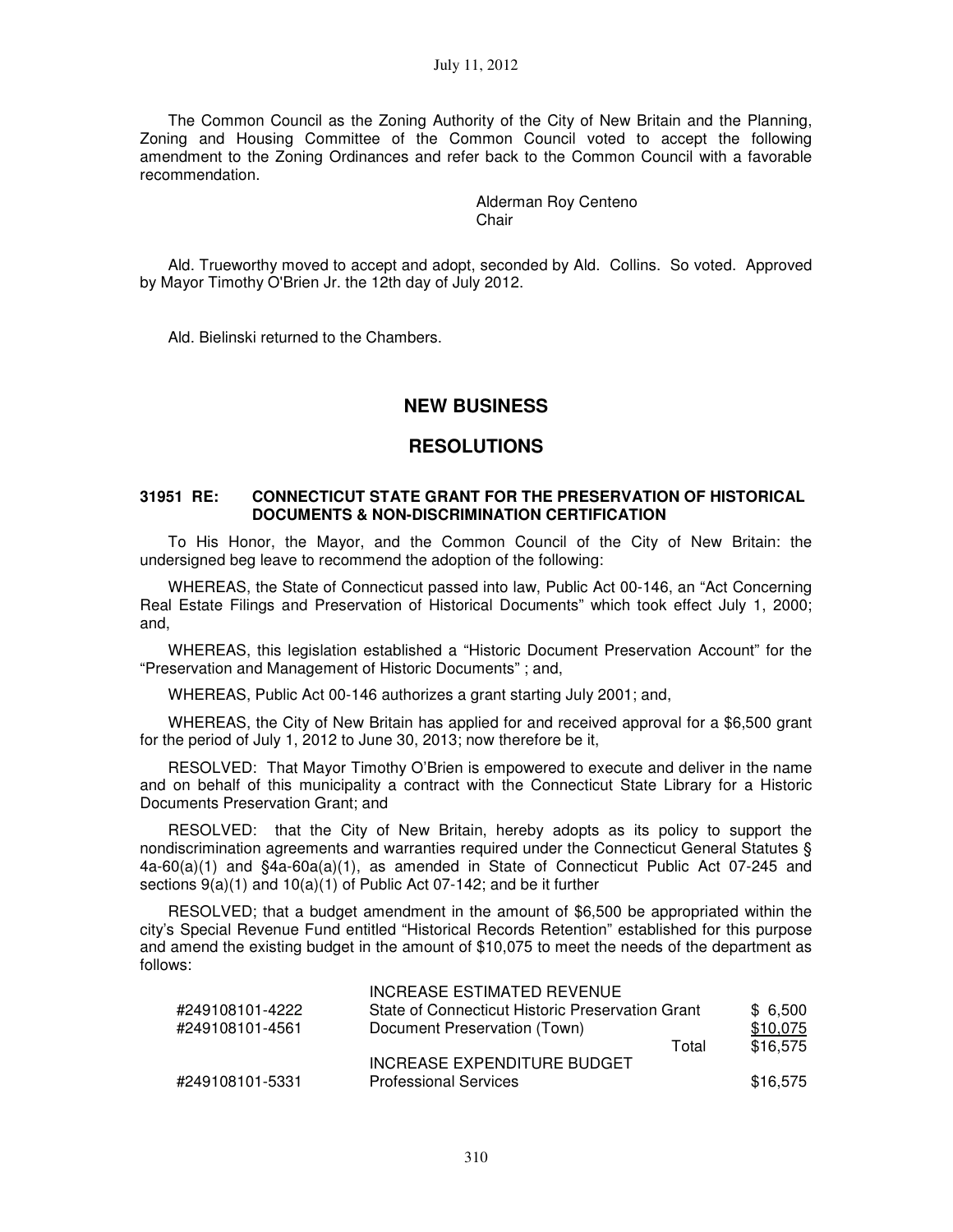The Common Council as the Zoning Authority of the City of New Britain and the Planning, Zoning and Housing Committee of the Common Council voted to accept the following amendment to the Zoning Ordinances and refer back to the Common Council with a favorable recommendation.

> Alderman Roy Centeno Chair

Ald. Trueworthy moved to accept and adopt, seconded by Ald. Collins. So voted. Approved by Mayor Timothy O'Brien Jr. the 12th day of July 2012.

Ald. Bielinski returned to the Chambers.

# **NEW BUSINESS**

## **RESOLUTIONS**

### **31951 RE: CONNECTICUT STATE GRANT FOR THE PRESERVATION OF HISTORICAL DOCUMENTS & NON-DISCRIMINATION CERTIFICATION**

To His Honor, the Mayor, and the Common Council of the City of New Britain: the undersigned beg leave to recommend the adoption of the following:

WHEREAS, the State of Connecticut passed into law, Public Act 00-146, an "Act Concerning Real Estate Filings and Preservation of Historical Documents" which took effect July 1, 2000; and,

WHEREAS, this legislation established a "Historic Document Preservation Account" for the "Preservation and Management of Historic Documents" ; and,

WHEREAS, Public Act 00-146 authorizes a grant starting July 2001; and,

WHEREAS, the City of New Britain has applied for and received approval for a \$6,500 grant for the period of July 1, 2012 to June 30, 2013; now therefore be it,

RESOLVED: That Mayor Timothy O'Brien is empowered to execute and deliver in the name and on behalf of this municipality a contract with the Connecticut State Library for a Historic Documents Preservation Grant; and

RESOLVED: that the City of New Britain, hereby adopts as its policy to support the nondiscrimination agreements and warranties required under the Connecticut General Statutes § 4a-60(a)(1) and §4a-60a(a)(1), as amended in State of Connecticut Public Act 07-245 and sections 9(a)(1) and 10(a)(1) of Public Act 07-142; and be it further

RESOLVED; that a budget amendment in the amount of \$6,500 be appropriated within the city's Special Revenue Fund entitled "Historical Records Retention" established for this purpose and amend the existing budget in the amount of \$10,075 to meet the needs of the department as follows:

|                 | INCREASE ESTIMATED REVENUE                       |       |          |
|-----------------|--------------------------------------------------|-------|----------|
| #249108101-4222 | State of Connecticut Historic Preservation Grant |       | \$6.500  |
| #249108101-4561 | Document Preservation (Town)                     |       | \$10,075 |
|                 |                                                  | Total | \$16.575 |
|                 | INCREASE EXPENDITURE BUDGET                      |       |          |
| #249108101-5331 | <b>Professional Services</b>                     |       | \$16.575 |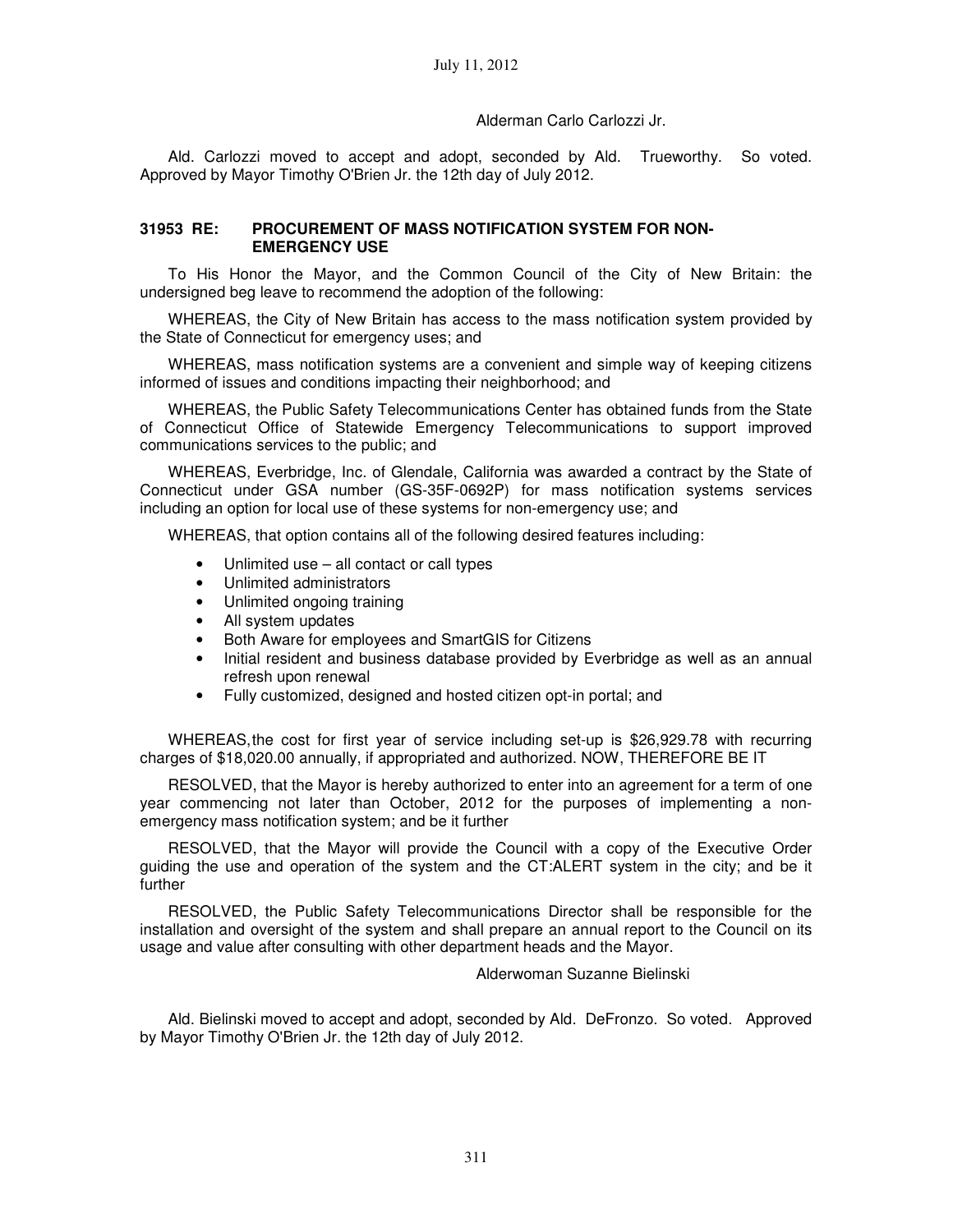### Alderman Carlo Carlozzi Jr.

Ald. Carlozzi moved to accept and adopt, seconded by Ald. Trueworthy. So voted. Approved by Mayor Timothy O'Brien Jr. the 12th day of July 2012.

### **31953 RE: PROCUREMENT OF MASS NOTIFICATION SYSTEM FOR NON-EMERGENCY USE**

To His Honor the Mayor, and the Common Council of the City of New Britain: the undersigned beg leave to recommend the adoption of the following:

WHEREAS, the City of New Britain has access to the mass notification system provided by the State of Connecticut for emergency uses; and

WHEREAS, mass notification systems are a convenient and simple way of keeping citizens informed of issues and conditions impacting their neighborhood; and

WHEREAS, the Public Safety Telecommunications Center has obtained funds from the State of Connecticut Office of Statewide Emergency Telecommunications to support improved communications services to the public; and

WHEREAS, Everbridge, Inc. of Glendale, California was awarded a contract by the State of Connecticut under GSA number (GS-35F-0692P) for mass notification systems services including an option for local use of these systems for non-emergency use; and

WHEREAS, that option contains all of the following desired features including:

- Unlimited use all contact or call types
- Unlimited administrators
- Unlimited ongoing training
- All system updates
- Both Aware for employees and SmartGIS for Citizens
- Initial resident and business database provided by Everbridge as well as an annual refresh upon renewal
- Fully customized, designed and hosted citizen opt-in portal; and

WHEREAS, the cost for first year of service including set-up is \$26,929.78 with recurring charges of \$18,020.00 annually, if appropriated and authorized. NOW, THEREFORE BE IT

RESOLVED, that the Mayor is hereby authorized to enter into an agreement for a term of one year commencing not later than October, 2012 for the purposes of implementing a nonemergency mass notification system; and be it further

RESOLVED, that the Mayor will provide the Council with a copy of the Executive Order guiding the use and operation of the system and the CT:ALERT system in the city; and be it further

RESOLVED, the Public Safety Telecommunications Director shall be responsible for the installation and oversight of the system and shall prepare an annual report to the Council on its usage and value after consulting with other department heads and the Mayor.

Alderwoman Suzanne Bielinski

Ald. Bielinski moved to accept and adopt, seconded by Ald. DeFronzo. So voted. Approved by Mayor Timothy O'Brien Jr. the 12th day of July 2012.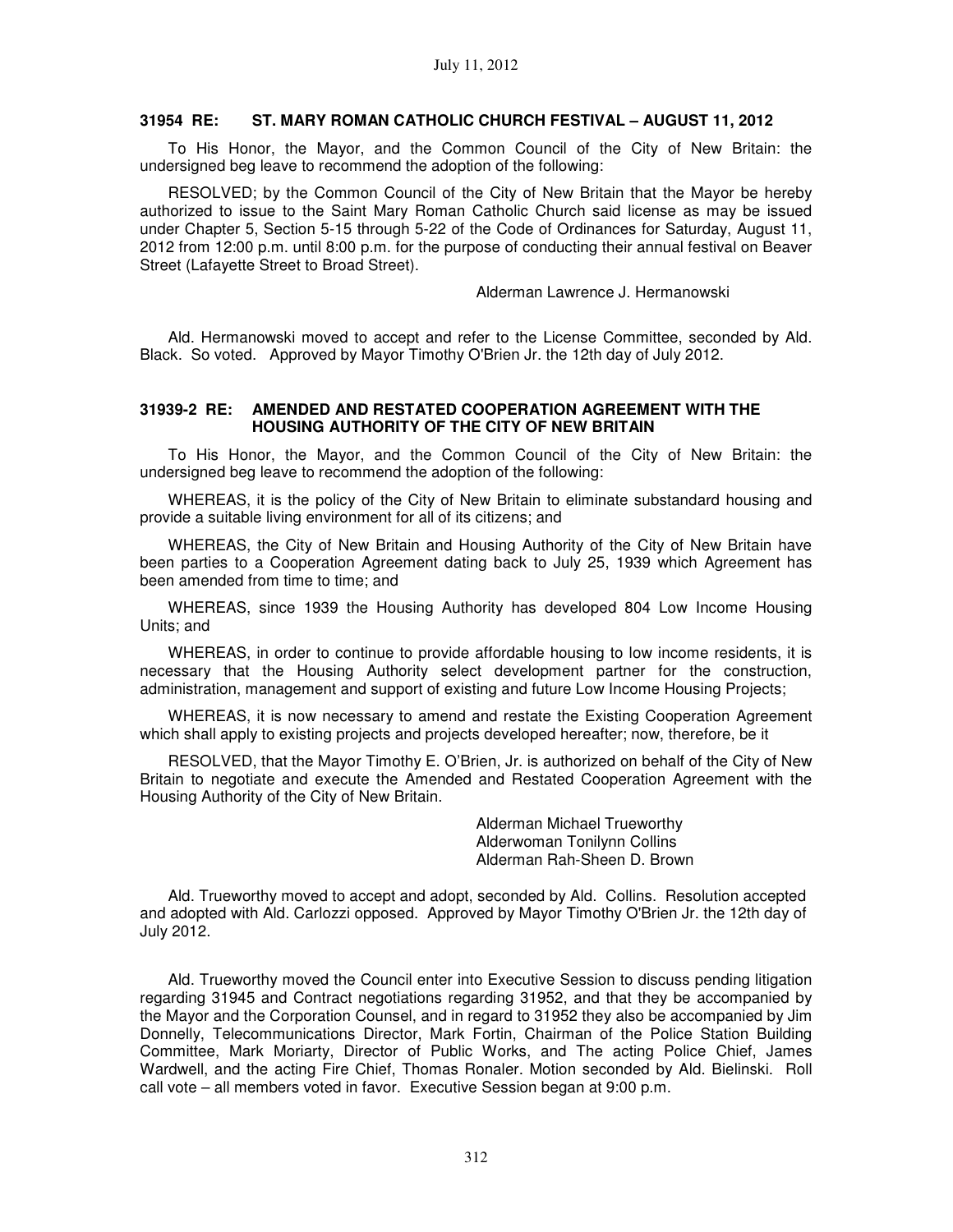### **31954 RE: ST. MARY ROMAN CATHOLIC CHURCH FESTIVAL – AUGUST 11, 2012**

To His Honor, the Mayor, and the Common Council of the City of New Britain: the undersigned beg leave to recommend the adoption of the following:

RESOLVED; by the Common Council of the City of New Britain that the Mayor be hereby authorized to issue to the Saint Mary Roman Catholic Church said license as may be issued under Chapter 5, Section 5-15 through 5-22 of the Code of Ordinances for Saturday, August 11, 2012 from 12:00 p.m. until 8:00 p.m. for the purpose of conducting their annual festival on Beaver Street (Lafayette Street to Broad Street).

Alderman Lawrence J. Hermanowski

Ald. Hermanowski moved to accept and refer to the License Committee, seconded by Ald. Black. So voted. Approved by Mayor Timothy O'Brien Jr. the 12th day of July 2012.

### **31939-2 RE: AMENDED AND RESTATED COOPERATION AGREEMENT WITH THE HOUSING AUTHORITY OF THE CITY OF NEW BRITAIN**

To His Honor, the Mayor, and the Common Council of the City of New Britain: the undersigned beg leave to recommend the adoption of the following:

WHEREAS, it is the policy of the City of New Britain to eliminate substandard housing and provide a suitable living environment for all of its citizens; and

WHEREAS, the City of New Britain and Housing Authority of the City of New Britain have been parties to a Cooperation Agreement dating back to July 25, 1939 which Agreement has been amended from time to time; and

WHEREAS, since 1939 the Housing Authority has developed 804 Low Income Housing Units; and

WHEREAS, in order to continue to provide affordable housing to low income residents, it is necessary that the Housing Authority select development partner for the construction, administration, management and support of existing and future Low Income Housing Projects;

WHEREAS, it is now necessary to amend and restate the Existing Cooperation Agreement which shall apply to existing projects and projects developed hereafter; now, therefore, be it

RESOLVED, that the Mayor Timothy E. O'Brien, Jr. is authorized on behalf of the City of New Britain to negotiate and execute the Amended and Restated Cooperation Agreement with the Housing Authority of the City of New Britain.

> Alderman Michael Trueworthy Alderwoman Tonilynn Collins Alderman Rah-Sheen D. Brown

Ald. Trueworthy moved to accept and adopt, seconded by Ald. Collins. Resolution accepted and adopted with Ald. Carlozzi opposed. Approved by Mayor Timothy O'Brien Jr. the 12th day of July 2012.

Ald. Trueworthy moved the Council enter into Executive Session to discuss pending litigation regarding 31945 and Contract negotiations regarding 31952, and that they be accompanied by the Mayor and the Corporation Counsel, and in regard to 31952 they also be accompanied by Jim Donnelly, Telecommunications Director, Mark Fortin, Chairman of the Police Station Building Committee, Mark Moriarty, Director of Public Works, and The acting Police Chief, James Wardwell, and the acting Fire Chief, Thomas Ronaler. Motion seconded by Ald. Bielinski. Roll call vote – all members voted in favor. Executive Session began at 9:00 p.m.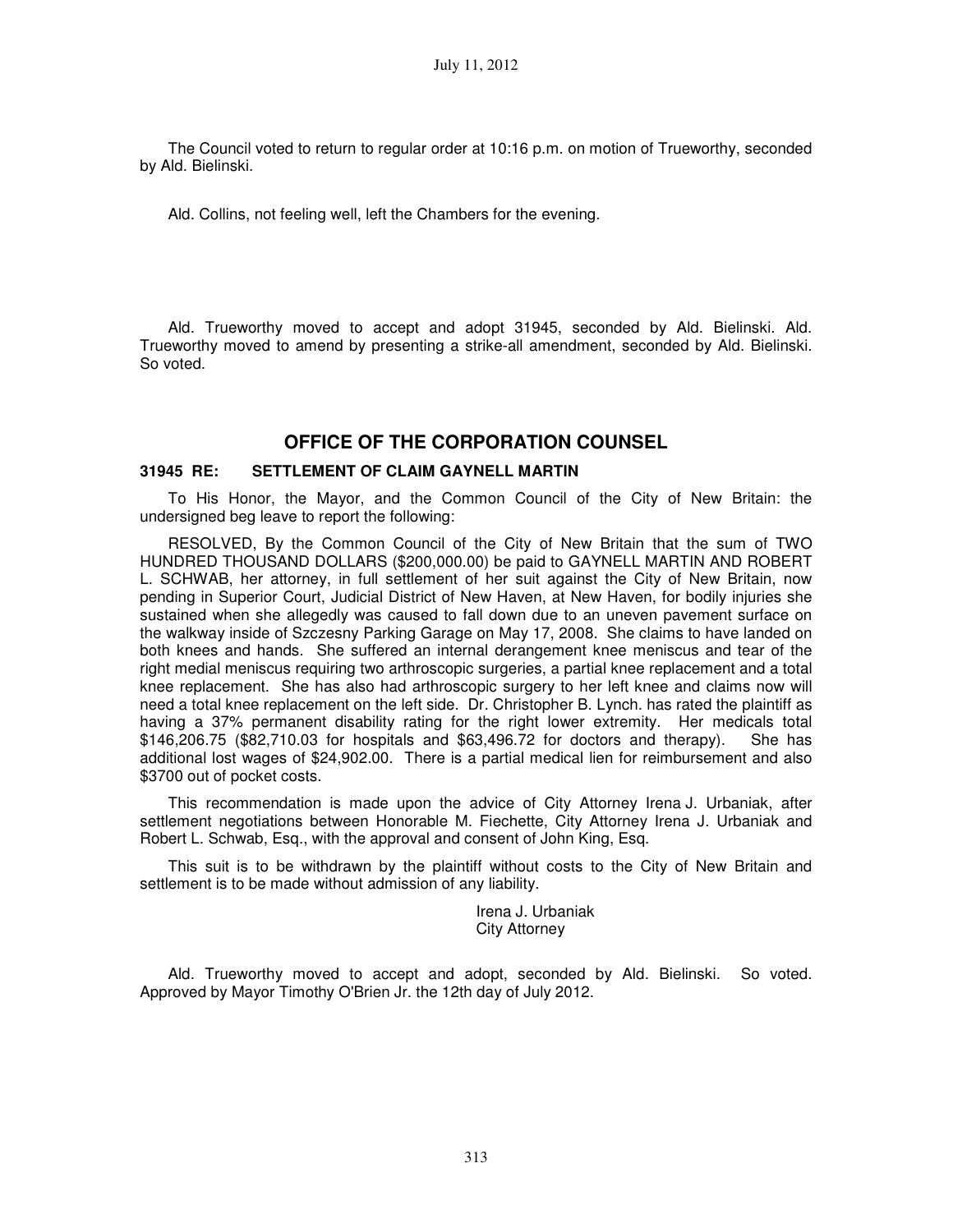The Council voted to return to regular order at 10:16 p.m. on motion of Trueworthy, seconded by Ald. Bielinski.

Ald. Collins, not feeling well, left the Chambers for the evening.

Ald. Trueworthy moved to accept and adopt 31945, seconded by Ald. Bielinski. Ald. Trueworthy moved to amend by presenting a strike-all amendment, seconded by Ald. Bielinski. So voted.

# **OFFICE OF THE CORPORATION COUNSEL**

### **31945 RE: SETTLEMENT OF CLAIM GAYNELL MARTIN**

To His Honor, the Mayor, and the Common Council of the City of New Britain: the undersigned beg leave to report the following:

RESOLVED, By the Common Council of the City of New Britain that the sum of TWO HUNDRED THOUSAND DOLLARS (\$200,000.00) be paid to GAYNELL MARTIN AND ROBERT L. SCHWAB, her attorney, in full settlement of her suit against the City of New Britain, now pending in Superior Court, Judicial District of New Haven, at New Haven, for bodily injuries she sustained when she allegedly was caused to fall down due to an uneven pavement surface on the walkway inside of Szczesny Parking Garage on May 17, 2008. She claims to have landed on both knees and hands. She suffered an internal derangement knee meniscus and tear of the right medial meniscus requiring two arthroscopic surgeries, a partial knee replacement and a total knee replacement. She has also had arthroscopic surgery to her left knee and claims now will need a total knee replacement on the left side. Dr. Christopher B. Lynch. has rated the plaintiff as having a 37% permanent disability rating for the right lower extremity. Her medicals total \$146,206.75 (\$82,710.03 for hospitals and \$63,496.72 for doctors and therapy). She has additional lost wages of \$24,902.00. There is a partial medical lien for reimbursement and also \$3700 out of pocket costs.

This recommendation is made upon the advice of City Attorney Irena J. Urbaniak, after settlement negotiations between Honorable M. Fiechette, City Attorney Irena J. Urbaniak and Robert L. Schwab, Esq., with the approval and consent of John King, Esq.

This suit is to be withdrawn by the plaintiff without costs to the City of New Britain and settlement is to be made without admission of any liability.

> Irena J. Urbaniak City Attorney

Ald. Trueworthy moved to accept and adopt, seconded by Ald. Bielinski. So voted. Approved by Mayor Timothy O'Brien Jr. the 12th day of July 2012.